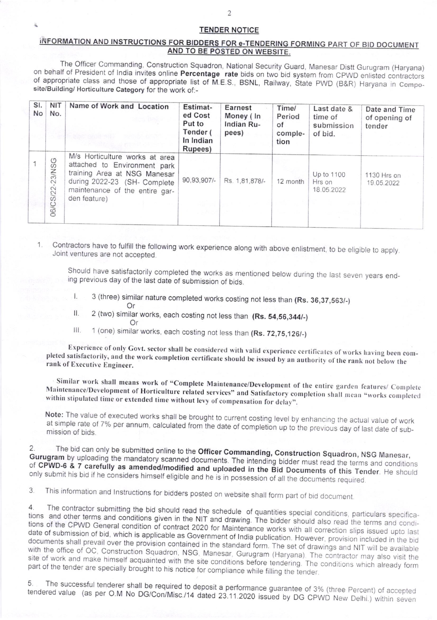## **TENDER NOTICE**

 $\overline{2}$ 

## INFORMATION AND INSTRUCTIONS FOR BIDDERS FOR e-TENDERING FORMING PART OF BID DOCUMENT AND TO BE POSTED ON WEBSITE.

The Officer Commanding, Construction Squadron, National Security Guard, Manesar Distt Gurugram (Haryana) on behalf of President of India invites online Percentage rate bids on two bid system from CPWD enlisted contractors of appropriate class and those of appropriate list of M.E.S., BSNL, Railway, State PWD (B&R) Haryana in Composite/Building/ Horticulture Category for the work of:-

| SI.<br><b>No</b> | NIT<br>No.                | Name of Work and Location                                                                                                                                                        | Estimat-<br>ed Cost<br>Put to<br>Tender (<br>In Indian<br>Rupees) | Earnest<br>Money (In<br>Indian Ru-<br>pees) | Time/<br>Period<br>of<br>comple-<br>tion | Last date &<br>time of<br>submission<br>of bid. | Date and Time<br>of opening of<br>tender |
|------------------|---------------------------|----------------------------------------------------------------------------------------------------------------------------------------------------------------------------------|-------------------------------------------------------------------|---------------------------------------------|------------------------------------------|-------------------------------------------------|------------------------------------------|
|                  | $\circ$<br>06/CS/22-23/NS | M/s Horticulture works at area<br>attached to Environment park<br>training Area at NSG Manesar<br>during 2022-23 (SH- Complete<br>maintenance of the entire gar-<br>den feature) | 90,93,907/-                                                       | Rs. 1,81,878/-                              | 12 month                                 | Up to 1100<br>Hrs on<br>18.05.2022              | 1130 Hrs on<br>19.05.2022                |

Contractors have to fulfill the following work experience along with above enlistment, to be eligible to apply. 1 Joint ventures are not accepted.

Should have satisfactorily completed the works as mentioned below during the last seven years ending previous day of the last date of submission of bids.

- 3 (three) similar nature completed works costing not less than (Rs. 36,37,563/-) 1. Or
- 2 (two) similar works, each costing not less than (Rs. 54,56,344/-) II. Or
- 1 (one) similar works, each costing not less than (Rs. 72,75,126/-) Ш.

Experience of only Govt. sector shall be considered with valid experience certificates of works having been completed satisfactorily, and the work completion certificate should be issued by an authority of the rank not below the rank of Executive Engineer.

Similar work shall means work of "Complete Maintenance/Development of the entire garden features/ Complete Maintenance/Development of Horticulture related services" and Satisfactory completion shall mean "works completed within stipulated time or extended time without levy of compensation for delay".

Note: The value of executed works shall be brought to current costing level by enhancing the actual value of work at simple rate of 7% per annum, calculated from the date of completion up to the previous day of last date of submission of bids.

The bid can only be submitted online to the Officer Commanding, Construction Squadron, NSG Manesar,  $2.$ Gurugram by uploading the mandatory scanned documents. The intending bidder must read the terms and conditions of CPWD-6 & 7 carefully as amended/modified and uploaded in the Bid Documents of this Tender. He should only submit his bid if he considers himself eligible and he is in possession of all the documents required.

This information and Instructions for bidders posted on website shall form part of bid document. 3.

The contractor submitting the bid should read the schedule of quantities special conditions, particulars specifica- $\overline{4}$ tions and other terms and conditions given in the NIT and drawing. The bidder should also read the terms and conditions of the CPWD General condition of contract 2020 for Maintenance works with all correction slips issued upto last date of submission of bid, which is applicable as Government of India publication. However, provision included in the bid documents shall prevail over the provision contained in the standard form. The set of drawings and NIT will be available with the office of OC, Construction Squadron, NSG, Manesar, Gurugram (Haryana). The contractor may also visit the site of work and make himself acquainted with the site conditions before tendering. The conditions which already form part of the tender are specially brought to his notice for compliance while filling the tender.

The successful tenderer shall be required to deposit a performance guarantee of 3% (three Percent) of accepted 5 tendered value (as per O.M No DG/Con/Misc./14 dated 23.11.2020 issued by DG CPWD New Delhi.) within seven